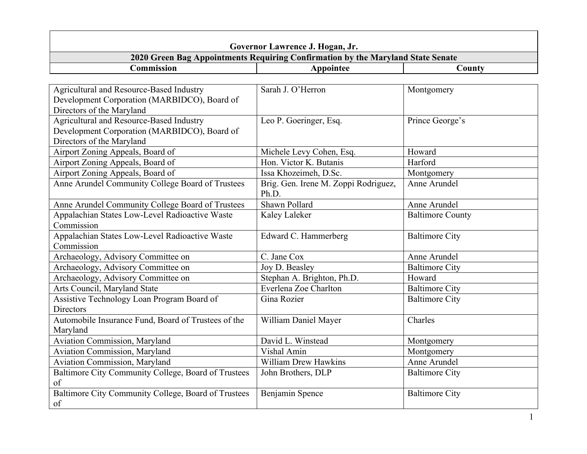| Governor Lawrence J. Hogan, Jr.                                                                                       |                                                                                 |                         |  |
|-----------------------------------------------------------------------------------------------------------------------|---------------------------------------------------------------------------------|-------------------------|--|
|                                                                                                                       | 2020 Green Bag Appointments Requiring Confirmation by the Maryland State Senate |                         |  |
| Commission                                                                                                            | Appointee                                                                       | County                  |  |
|                                                                                                                       |                                                                                 |                         |  |
| Agricultural and Resource-Based Industry<br>Development Corporation (MARBIDCO), Board of<br>Directors of the Maryland | Sarah J. O'Herron                                                               | Montgomery              |  |
| Agricultural and Resource-Based Industry<br>Development Corporation (MARBIDCO), Board of<br>Directors of the Maryland | Leo P. Goeringer, Esq.                                                          | Prince George's         |  |
| Airport Zoning Appeals, Board of                                                                                      | Michele Levy Cohen, Esq.                                                        | Howard                  |  |
| Airport Zoning Appeals, Board of                                                                                      | Hon. Victor K. Butanis                                                          | Harford                 |  |
| Airport Zoning Appeals, Board of                                                                                      | Issa Khozeimeh, D.Sc.                                                           | Montgomery              |  |
| Anne Arundel Community College Board of Trustees                                                                      | Brig. Gen. Irene M. Zoppi Rodriguez,<br>Ph.D.                                   | Anne Arundel            |  |
| Anne Arundel Community College Board of Trustees                                                                      | Shawn Pollard                                                                   | Anne Arundel            |  |
| Appalachian States Low-Level Radioactive Waste<br>Commission                                                          | Kaley Laleker                                                                   | <b>Baltimore County</b> |  |
| Appalachian States Low-Level Radioactive Waste<br>Commission                                                          | Edward C. Hammerberg                                                            | <b>Baltimore City</b>   |  |
| Archaeology, Advisory Committee on                                                                                    | C. Jane Cox                                                                     | Anne Arundel            |  |
| Archaeology, Advisory Committee on                                                                                    | Joy D. Beasley                                                                  | <b>Baltimore City</b>   |  |
| Archaeology, Advisory Committee on                                                                                    | Stephan A. Brighton, Ph.D.                                                      | Howard                  |  |
| Arts Council, Maryland State                                                                                          | Everlena Zoe Charlton                                                           | <b>Baltimore City</b>   |  |
| Assistive Technology Loan Program Board of<br><b>Directors</b>                                                        | Gina Rozier                                                                     | <b>Baltimore City</b>   |  |
| Automobile Insurance Fund, Board of Trustees of the<br>Maryland                                                       | William Daniel Mayer                                                            | Charles                 |  |
| <b>Aviation Commission, Maryland</b>                                                                                  | David L. Winstead                                                               | Montgomery              |  |
| <b>Aviation Commission, Maryland</b>                                                                                  | Vishal Amin                                                                     | Montgomery              |  |
| <b>Aviation Commission, Maryland</b>                                                                                  | <b>William Drew Hawkins</b>                                                     | Anne Arundel            |  |
| Baltimore City Community College, Board of Trustees<br>of                                                             | John Brothers, DLP                                                              | <b>Baltimore City</b>   |  |
| Baltimore City Community College, Board of Trustees<br>of                                                             | Benjamin Spence                                                                 | <b>Baltimore City</b>   |  |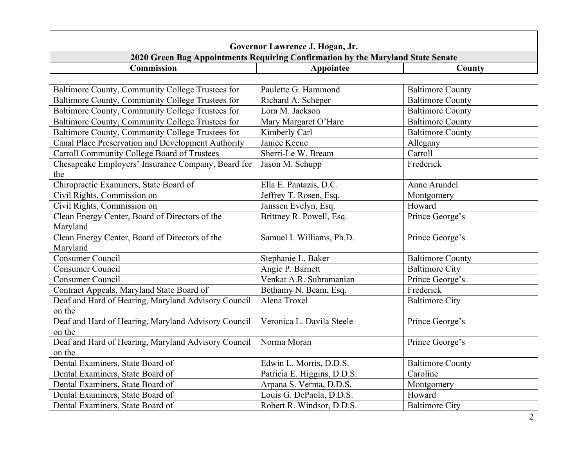| Governor Lawrence J. Hogan, Jr.                     |                                                                                 |                         |
|-----------------------------------------------------|---------------------------------------------------------------------------------|-------------------------|
|                                                     | 2020 Green Bag Appointments Requiring Confirmation by the Maryland State Senate |                         |
| <b>Commission</b>                                   | Appointee                                                                       | County                  |
|                                                     |                                                                                 |                         |
| Baltimore County, Community College Trustees for    | Paulette G. Hammond                                                             | <b>Baltimore County</b> |
| Baltimore County, Community College Trustees for    | Richard A. Scheper                                                              | <b>Baltimore County</b> |
| Baltimore County, Community College Trustees for    | Lora M. Jackson                                                                 | <b>Baltimore County</b> |
| Baltimore County, Community College Trustees for    | Mary Margaret O'Hare                                                            | <b>Baltimore County</b> |
| Baltimore County, Community College Trustees for    | Kimberly Carl                                                                   | <b>Baltimore County</b> |
| Canal Place Preservation and Development Authority  | Janice Keene                                                                    | Allegany                |
| Carroll Community College Board of Trustees         | Sherri-Le W. Bream                                                              | Carroll                 |
| Chesapeake Employers' Insurance Company, Board for  | Jason M. Schupp                                                                 | Frederick               |
| the                                                 |                                                                                 |                         |
| Chiropractic Examiners, State Board of              | Ella E. Pantazis, D.C.                                                          | Anne Arundel            |
| Civil Rights, Commission on                         | Jeffrey T. Rosen, Esq.                                                          | Montgomery              |
| Civil Rights, Commission on                         | Janssen Evelyn, Esq.                                                            | Howard                  |
| Clean Energy Center, Board of Directors of the      | Brittney R. Powell, Esq.                                                        | Prince George's         |
| Maryland                                            |                                                                                 |                         |
| Clean Energy Center, Board of Directors of the      | Samuel I. Williams, Ph.D.                                                       | Prince George's         |
| Maryland                                            |                                                                                 |                         |
| <b>Consumer Council</b>                             | Stephanie L. Baker                                                              | <b>Baltimore County</b> |
| <b>Consumer Council</b>                             | Angie P. Barnett                                                                | <b>Baltimore City</b>   |
| <b>Consumer Council</b>                             | Venkat A.R. Subramanian                                                         | Prince George's         |
| Contract Appeals, Maryland State Board of           | Bethamy N. Beam, Esq.                                                           | Frederick               |
| Deaf and Hard of Hearing, Maryland Advisory Council | Alena Troxel                                                                    | <b>Baltimore City</b>   |
| on the                                              |                                                                                 |                         |
| Deaf and Hard of Hearing, Maryland Advisory Council | Veronica L. Davila Steele                                                       | Prince George's         |
| on the                                              |                                                                                 |                         |
| Deaf and Hard of Hearing, Maryland Advisory Council | Norma Moran                                                                     | Prince George's         |
| on the                                              |                                                                                 |                         |
| Dental Examiners, State Board of                    | Edwin L. Morris, D.D.S.                                                         | <b>Baltimore County</b> |
| Dental Examiners, State Board of                    | Patricia E. Higgins, D.D.S.                                                     | Caroline                |
| Dental Examiners, State Board of                    | Arpana S. Verma, D.D.S.                                                         | Montgomery              |
| Dental Examiners, State Board of                    | Louis G. DePaola, D.D.S.                                                        | Howard                  |
| Dental Examiners, State Board of                    | Robert R. Windsor, D.D.S.                                                       | <b>Baltimore City</b>   |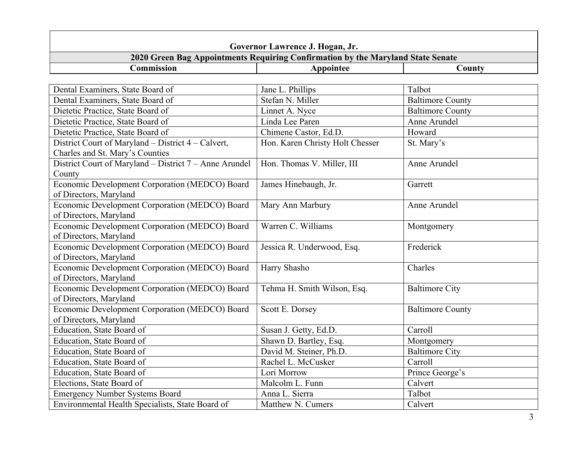| Governor Lawrence J. Hogan, Jr.                                                       |                                                                                 |                         |
|---------------------------------------------------------------------------------------|---------------------------------------------------------------------------------|-------------------------|
|                                                                                       | 2020 Green Bag Appointments Requiring Confirmation by the Maryland State Senate |                         |
| Commission                                                                            | Appointee                                                                       | County                  |
|                                                                                       |                                                                                 |                         |
| Dental Examiners, State Board of                                                      | Jane L. Phillips                                                                | Talbot                  |
| Dental Examiners, State Board of                                                      | Stefan N. Miller                                                                | <b>Baltimore County</b> |
| Dietetic Practice, State Board of                                                     | Linnet A. Nyce                                                                  | <b>Baltimore County</b> |
| Dietetic Practice, State Board of                                                     | Linda Lee Paren                                                                 | Anne Arundel            |
| Dietetic Practice, State Board of                                                     | Chimene Castor, Ed.D.                                                           | Howard                  |
| District Court of Maryland – District 4 – Calvert,<br>Charles and St. Mary's Counties | Hon. Karen Christy Holt Chesser                                                 | St. Mary's              |
| District Court of Maryland – District 7 – Anne Arundel<br>County                      | Hon. Thomas V. Miller, III                                                      | Anne Arundel            |
| Economic Development Corporation (MEDCO) Board<br>of Directors, Maryland              | James Hinebaugh, Jr.                                                            | Garrett                 |
| Economic Development Corporation (MEDCO) Board<br>of Directors, Maryland              | Mary Ann Marbury                                                                | Anne Arundel            |
| Economic Development Corporation (MEDCO) Board<br>of Directors, Maryland              | Warren C. Williams                                                              | Montgomery              |
| Economic Development Corporation (MEDCO) Board<br>of Directors, Maryland              | Jessica R. Underwood, Esq.                                                      | Frederick               |
| Economic Development Corporation (MEDCO) Board<br>of Directors, Maryland              | Harry Shasho                                                                    | Charles                 |
| Economic Development Corporation (MEDCO) Board<br>of Directors, Maryland              | Tehma H. Smith Wilson, Esq.                                                     | <b>Baltimore City</b>   |
| Economic Development Corporation (MEDCO) Board<br>of Directors, Maryland              | Scott E. Dorsey                                                                 | <b>Baltimore County</b> |
| Education, State Board of                                                             | Susan J. Getty, Ed.D.                                                           | Carroll                 |
| Education, State Board of                                                             | Shawn D. Bartley, Esq.                                                          | Montgomery              |
| Education, State Board of                                                             | David M. Steiner, Ph.D.                                                         | <b>Baltimore City</b>   |
| Education, State Board of                                                             | Rachel L. McCusker                                                              | Carroll                 |
| Education, State Board of                                                             | Lori Morrow                                                                     | Prince George's         |
| Elections, State Board of                                                             | Malcolm L. Funn                                                                 | Calvert                 |
| <b>Emergency Number Systems Board</b>                                                 | Anna L. Sierra                                                                  | Talbot                  |
| Environmental Health Specialists, State Board of                                      | Matthew N. Cumers                                                               | Calvert                 |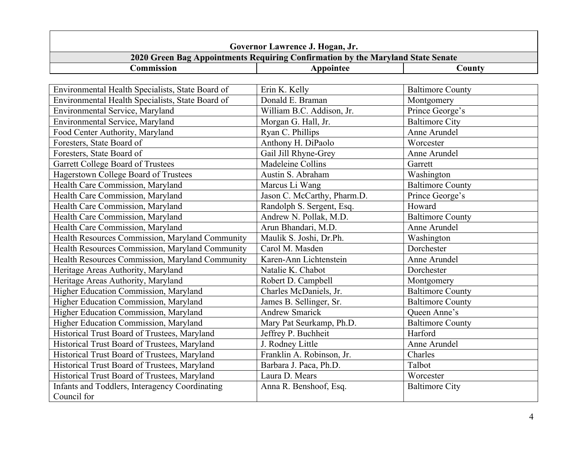| Governor Lawrence J. Hogan, Jr.                                                 |                             |                         |
|---------------------------------------------------------------------------------|-----------------------------|-------------------------|
| 2020 Green Bag Appointments Requiring Confirmation by the Maryland State Senate |                             |                         |
| Commission                                                                      | Appointee                   | County                  |
|                                                                                 |                             |                         |
| Environmental Health Specialists, State Board of                                | Erin K. Kelly               | <b>Baltimore County</b> |
| Environmental Health Specialists, State Board of                                | Donald E. Braman            | Montgomery              |
| Environmental Service, Maryland                                                 | William B.C. Addison, Jr.   | Prince George's         |
| Environmental Service, Maryland                                                 | Morgan G. Hall, Jr.         | <b>Baltimore City</b>   |
| Food Center Authority, Maryland                                                 | Ryan C. Phillips            | Anne Arundel            |
| Foresters, State Board of                                                       | Anthony H. DiPaolo          | Worcester               |
| Foresters, State Board of                                                       | Gail Jill Rhyne-Grey        | Anne Arundel            |
| Garrett College Board of Trustees                                               | Madeleine Collins           | Garrett                 |
| Hagerstown College Board of Trustees                                            | Austin S. Abraham           | Washington              |
| Health Care Commission, Maryland                                                | Marcus Li Wang              | <b>Baltimore County</b> |
| Health Care Commission, Maryland                                                | Jason C. McCarthy, Pharm.D. | Prince George's         |
| Health Care Commission, Maryland                                                | Randolph S. Sergent, Esq.   | Howard                  |
| Health Care Commission, Maryland                                                | Andrew N. Pollak, M.D.      | <b>Baltimore County</b> |
| Health Care Commission, Maryland                                                | Arun Bhandari, M.D.         | Anne Arundel            |
| Health Resources Commission, Maryland Community                                 | Maulik S. Joshi, Dr.Ph.     | Washington              |
| Health Resources Commission, Maryland Community                                 | Carol M. Masden             | Dorchester              |
| Health Resources Commission, Maryland Community                                 | Karen-Ann Lichtenstein      | Anne Arundel            |
| Heritage Areas Authority, Maryland                                              | Natalie K. Chabot           | Dorchester              |
| Heritage Areas Authority, Maryland                                              | Robert D. Campbell          | Montgomery              |
| Higher Education Commission, Maryland                                           | Charles McDaniels, Jr.      | <b>Baltimore County</b> |
| Higher Education Commission, Maryland                                           | James B. Sellinger, Sr.     | <b>Baltimore County</b> |
| Higher Education Commission, Maryland                                           | <b>Andrew Smarick</b>       | Oueen Anne's            |
| Higher Education Commission, Maryland                                           | Mary Pat Seurkamp, Ph.D.    | <b>Baltimore County</b> |
| Historical Trust Board of Trustees, Maryland                                    | Jeffrey P. Buchheit         | Harford                 |
| Historical Trust Board of Trustees, Maryland                                    | J. Rodney Little            | Anne Arundel            |
| Historical Trust Board of Trustees, Maryland                                    | Franklin A. Robinson, Jr.   | Charles                 |
| Historical Trust Board of Trustees, Maryland                                    | Barbara J. Paca, Ph.D.      | Talbot                  |
| Historical Trust Board of Trustees, Maryland                                    | Laura D. Mears              | Worcester               |
| Infants and Toddlers, Interagency Coordinating                                  | Anna R. Benshoof, Esq.      | <b>Baltimore City</b>   |
| Council for                                                                     |                             |                         |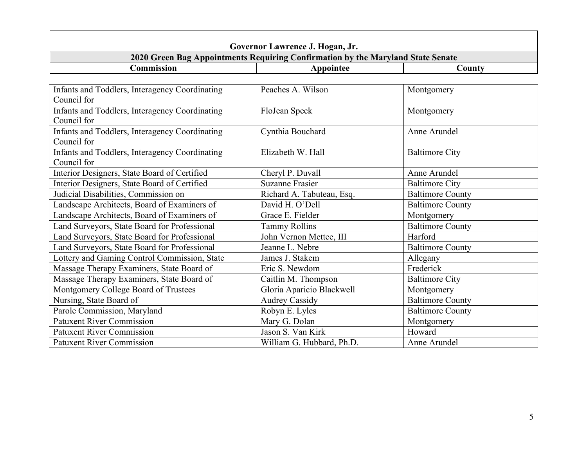| Governor Lawrence J. Hogan, Jr.                               |                                                                                 |                         |
|---------------------------------------------------------------|---------------------------------------------------------------------------------|-------------------------|
|                                                               | 2020 Green Bag Appointments Requiring Confirmation by the Maryland State Senate |                         |
| Commission                                                    | Appointee                                                                       | County                  |
|                                                               |                                                                                 |                         |
| Infants and Toddlers, Interagency Coordinating<br>Council for | Peaches A. Wilson                                                               | Montgomery              |
| Infants and Toddlers, Interagency Coordinating                | FloJean Speck                                                                   | Montgomery              |
| Council for                                                   |                                                                                 |                         |
| Infants and Toddlers, Interagency Coordinating                | Cynthia Bouchard                                                                | Anne Arundel            |
| Council for                                                   |                                                                                 |                         |
| <b>Infants and Toddlers, Interagency Coordinating</b>         | Elizabeth W. Hall                                                               | <b>Baltimore City</b>   |
| Council for                                                   |                                                                                 |                         |
| Interior Designers, State Board of Certified                  | Cheryl P. Duvall                                                                | Anne Arundel            |
| Interior Designers, State Board of Certified                  | <b>Suzanne Frasier</b>                                                          | <b>Baltimore City</b>   |
| Judicial Disabilities, Commission on                          | Richard A. Tabuteau, Esq.                                                       | <b>Baltimore County</b> |
| Landscape Architects, Board of Examiners of                   | David H. O'Dell                                                                 | <b>Baltimore County</b> |
| Landscape Architects, Board of Examiners of                   | Grace E. Fielder                                                                | Montgomery              |
| Land Surveyors, State Board for Professional                  | <b>Tammy Rollins</b>                                                            | <b>Baltimore County</b> |
| Land Surveyors, State Board for Professional                  | John Vernon Mettee, III                                                         | Harford                 |
| Land Surveyors, State Board for Professional                  | Jeanne L. Nebre                                                                 | <b>Baltimore County</b> |
| Lottery and Gaming Control Commission, State                  | James J. Stakem                                                                 | Allegany                |
| Massage Therapy Examiners, State Board of                     | Eric S. Newdom                                                                  | Frederick               |
| Massage Therapy Examiners, State Board of                     | Caitlin M. Thompson                                                             | <b>Baltimore City</b>   |
| Montgomery College Board of Trustees                          | Gloria Aparicio Blackwell                                                       | Montgomery              |
| Nursing, State Board of                                       | <b>Audrey Cassidy</b>                                                           | <b>Baltimore County</b> |
| Parole Commission, Maryland                                   | Robyn E. Lyles                                                                  | <b>Baltimore County</b> |
| <b>Patuxent River Commission</b>                              | Mary G. Dolan                                                                   | Montgomery              |
| <b>Patuxent River Commission</b>                              | Jason S. Van Kirk                                                               | Howard                  |
| <b>Patuxent River Commission</b>                              | William G. Hubbard, Ph.D.                                                       | Anne Arundel            |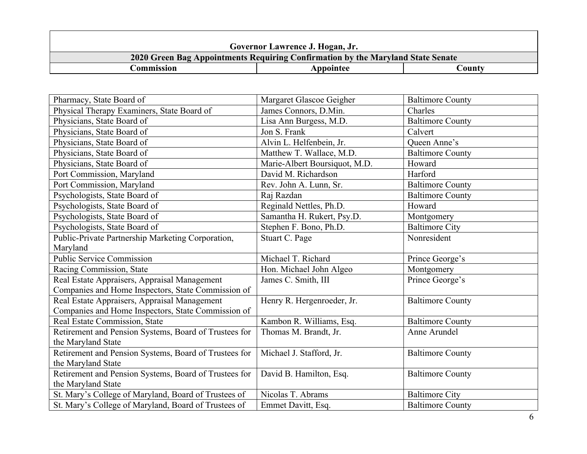|            | Governor Lawrence J. Hogan, Jr.                                                 |        |
|------------|---------------------------------------------------------------------------------|--------|
|            | 2020 Green Bag Appointments Requiring Confirmation by the Maryland State Senate |        |
| Commission | Appointee                                                                       | Countv |

| Pharmacy, State Board of                              | Margaret Glascoe Geigher      | <b>Baltimore County</b> |
|-------------------------------------------------------|-------------------------------|-------------------------|
| Physical Therapy Examiners, State Board of            | James Connors, D.Min.         | Charles                 |
| Physicians, State Board of                            | Lisa Ann Burgess, M.D.        | <b>Baltimore County</b> |
| Physicians, State Board of                            | Jon S. Frank                  | Calvert                 |
| Physicians, State Board of                            | Alvin L. Helfenbein, Jr.      | Queen Anne's            |
| Physicians, State Board of                            | Matthew T. Wallace, M.D.      | <b>Baltimore County</b> |
| Physicians, State Board of                            | Marie-Albert Boursiquot, M.D. | Howard                  |
| Port Commission, Maryland                             | David M. Richardson           | Harford                 |
| Port Commission, Maryland                             | Rev. John A. Lunn, Sr.        | <b>Baltimore County</b> |
| Psychologists, State Board of                         | Raj Razdan                    | <b>Baltimore County</b> |
| Psychologists, State Board of                         | Reginald Nettles, Ph.D.       | Howard                  |
| Psychologists, State Board of                         | Samantha H. Rukert, Psy.D.    | Montgomery              |
| Psychologists, State Board of                         | Stephen F. Bono, Ph.D.        | <b>Baltimore City</b>   |
| Public-Private Partnership Marketing Corporation,     | Stuart C. Page                | Nonresident             |
| Maryland                                              |                               |                         |
| <b>Public Service Commission</b>                      | Michael T. Richard            | Prince George's         |
| Racing Commission, State                              | Hon. Michael John Algeo       | Montgomery              |
| Real Estate Appraisers, Appraisal Management          | James C. Smith, III           | Prince George's         |
| Companies and Home Inspectors, State Commission of    |                               |                         |
| Real Estate Appraisers, Appraisal Management          | Henry R. Hergenroeder, Jr.    | <b>Baltimore County</b> |
| Companies and Home Inspectors, State Commission of    |                               |                         |
| Real Estate Commission, State                         | Kambon R. Williams, Esq.      | <b>Baltimore County</b> |
| Retirement and Pension Systems, Board of Trustees for | Thomas M. Brandt, Jr.         | Anne Arundel            |
| the Maryland State                                    |                               |                         |
| Retirement and Pension Systems, Board of Trustees for | Michael J. Stafford, Jr.      | <b>Baltimore County</b> |
| the Maryland State                                    |                               |                         |
| Retirement and Pension Systems, Board of Trustees for | David B. Hamilton, Esq.       | <b>Baltimore County</b> |
| the Maryland State                                    |                               |                         |
| St. Mary's College of Maryland, Board of Trustees of  | Nicolas T. Abrams             | <b>Baltimore City</b>   |
| St. Mary's College of Maryland, Board of Trustees of  | Emmet Davitt, Esq.            | <b>Baltimore County</b> |